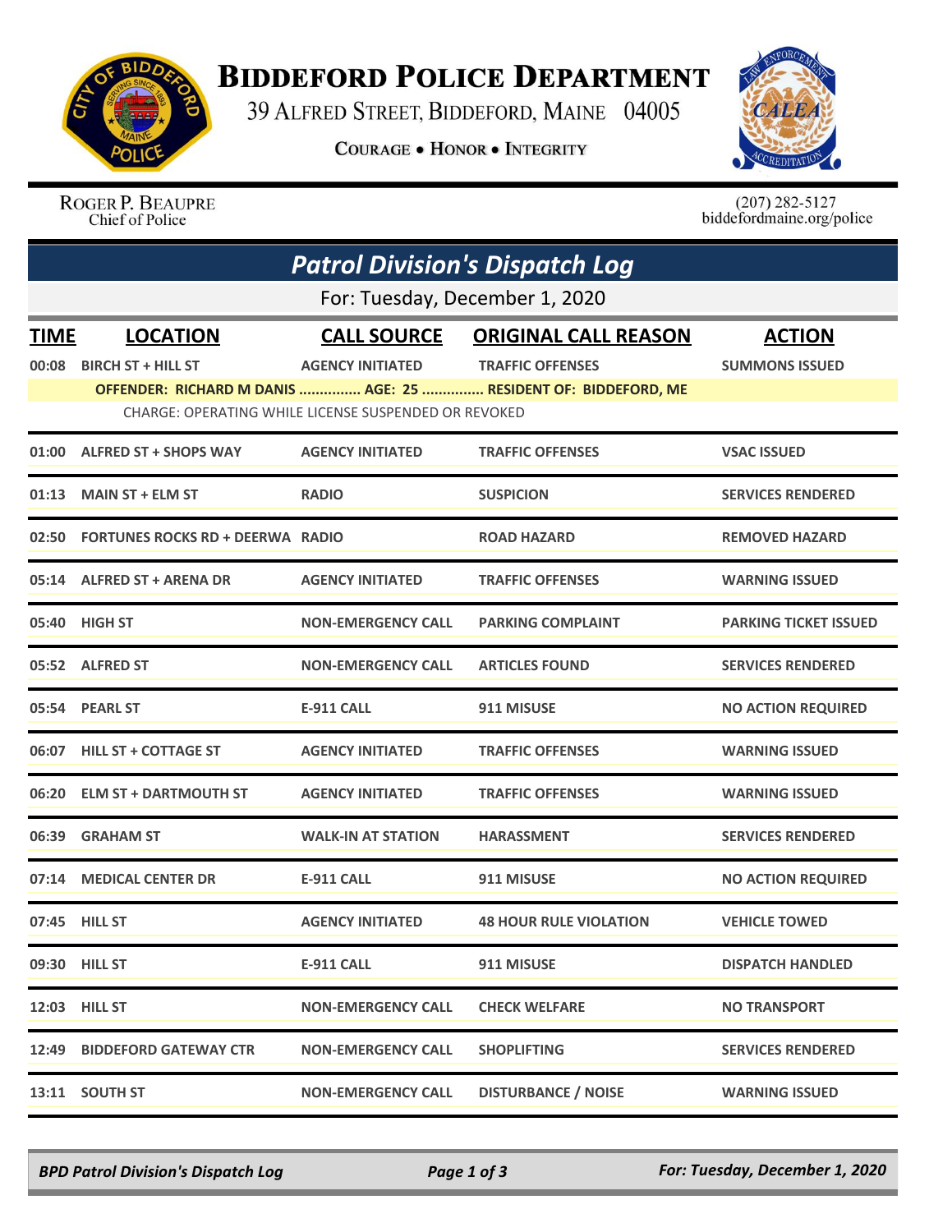

## **BIDDEFORD POLICE DEPARTMENT**

39 ALFRED STREET, BIDDEFORD, MAINE 04005

**COURAGE . HONOR . INTEGRITY** 



ROGER P. BEAUPRE Chief of Police

 $(207)$  282-5127<br>biddefordmaine.org/police

|                                | <b>Patrol Division's Dispatch Log</b>                |                           |                                                                |                              |  |  |  |  |
|--------------------------------|------------------------------------------------------|---------------------------|----------------------------------------------------------------|------------------------------|--|--|--|--|
| For: Tuesday, December 1, 2020 |                                                      |                           |                                                                |                              |  |  |  |  |
| <b>TIME</b>                    | <b>LOCATION</b>                                      | <b>CALL SOURCE</b>        | <b>ORIGINAL CALL REASON</b>                                    | <b>ACTION</b>                |  |  |  |  |
| 00:08                          | <b>BIRCH ST + HILL ST</b>                            | <b>AGENCY INITIATED</b>   | <b>TRAFFIC OFFENSES</b>                                        | <b>SUMMONS ISSUED</b>        |  |  |  |  |
|                                |                                                      |                           | OFFENDER: RICHARD M DANIS  AGE: 25  RESIDENT OF: BIDDEFORD, ME |                              |  |  |  |  |
|                                | CHARGE: OPERATING WHILE LICENSE SUSPENDED OR REVOKED |                           |                                                                |                              |  |  |  |  |
| 01:00                          | <b>ALFRED ST + SHOPS WAY</b>                         | <b>AGENCY INITIATED</b>   | <b>TRAFFIC OFFENSES</b>                                        | <b>VSAC ISSUED</b>           |  |  |  |  |
| 01:13                          | <b>MAIN ST + ELM ST</b>                              | <b>RADIO</b>              | <b>SUSPICION</b>                                               | <b>SERVICES RENDERED</b>     |  |  |  |  |
|                                | 02:50 FORTUNES ROCKS RD + DEERWA RADIO               |                           | <b>ROAD HAZARD</b>                                             | <b>REMOVED HAZARD</b>        |  |  |  |  |
| 05:14                          | <b>ALFRED ST + ARENA DR</b>                          | <b>AGENCY INITIATED</b>   | <b>TRAFFIC OFFENSES</b>                                        | <b>WARNING ISSUED</b>        |  |  |  |  |
|                                | 05:40 HIGH ST                                        | <b>NON-EMERGENCY CALL</b> | <b>PARKING COMPLAINT</b>                                       | <b>PARKING TICKET ISSUED</b> |  |  |  |  |
|                                | 05:52 ALFRED ST                                      | <b>NON-EMERGENCY CALL</b> | <b>ARTICLES FOUND</b>                                          | <b>SERVICES RENDERED</b>     |  |  |  |  |
|                                | 05:54 PEARL ST                                       | <b>E-911 CALL</b>         | 911 MISUSE                                                     | <b>NO ACTION REQUIRED</b>    |  |  |  |  |
|                                | 06:07 HILL ST + COTTAGE ST                           | <b>AGENCY INITIATED</b>   | <b>TRAFFIC OFFENSES</b>                                        | <b>WARNING ISSUED</b>        |  |  |  |  |
| 06:20                          | <b>ELM ST + DARTMOUTH ST</b>                         | <b>AGENCY INITIATED</b>   | <b>TRAFFIC OFFENSES</b>                                        | <b>WARNING ISSUED</b>        |  |  |  |  |
| 06:39                          | <b>GRAHAM ST</b>                                     | <b>WALK-IN AT STATION</b> | <b>HARASSMENT</b>                                              | <b>SERVICES RENDERED</b>     |  |  |  |  |
| 07:14                          | <b>MEDICAL CENTER DR</b>                             | <b>E-911 CALL</b>         | 911 MISUSE                                                     | <b>NO ACTION REQUIRED</b>    |  |  |  |  |
|                                | 07:45 HILL ST                                        | <b>AGENCY INITIATED</b>   | <b>48 HOUR RULE VIOLATION</b>                                  | <b>VEHICLE TOWED</b>         |  |  |  |  |
|                                | 09:30 HILL ST                                        | E-911 CALL                | 911 MISUSE                                                     | <b>DISPATCH HANDLED</b>      |  |  |  |  |
|                                | 12:03 HILL ST                                        | <b>NON-EMERGENCY CALL</b> | <b>CHECK WELFARE</b>                                           | <b>NO TRANSPORT</b>          |  |  |  |  |
| 12:49                          | <b>BIDDEFORD GATEWAY CTR</b>                         | <b>NON-EMERGENCY CALL</b> | <b>SHOPLIFTING</b>                                             | <b>SERVICES RENDERED</b>     |  |  |  |  |
|                                | 13:11 SOUTH ST                                       | <b>NON-EMERGENCY CALL</b> | <b>DISTURBANCE / NOISE</b>                                     | <b>WARNING ISSUED</b>        |  |  |  |  |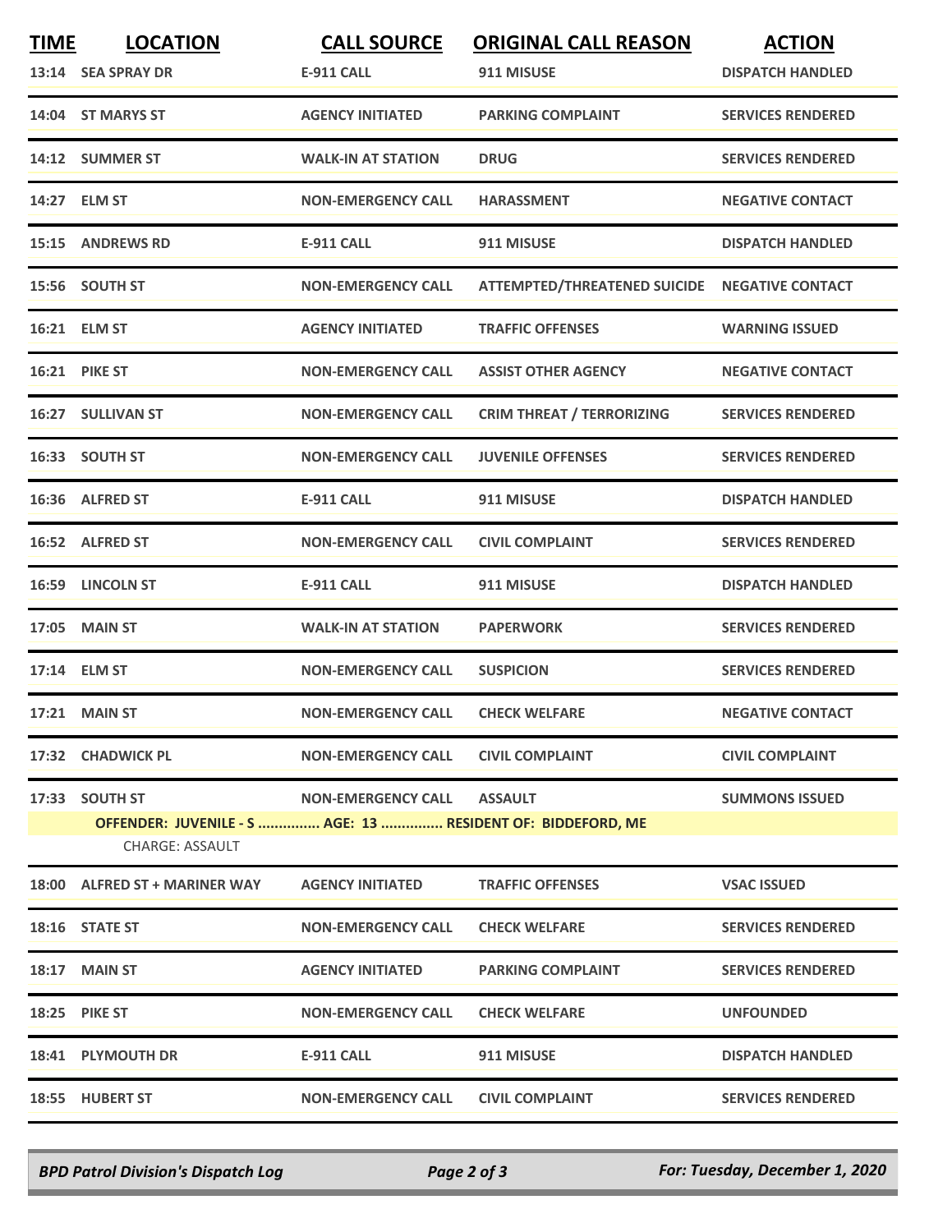| <b>TIME</b> | <b>LOCATION</b>                                                                | <b>CALL SOURCE</b>         | <b>ORIGINAL CALL REASON</b>                   | <b>ACTION</b>            |
|-------------|--------------------------------------------------------------------------------|----------------------------|-----------------------------------------------|--------------------------|
|             | 13:14 SEA SPRAY DR                                                             | <b>E-911 CALL</b>          | 911 MISUSE                                    | <b>DISPATCH HANDLED</b>  |
|             | 14:04 ST MARYS ST                                                              | <b>AGENCY INITIATED</b>    | <b>PARKING COMPLAINT</b>                      | <b>SERVICES RENDERED</b> |
|             | 14:12 SUMMER ST                                                                | <b>WALK-IN AT STATION</b>  | <b>DRUG</b>                                   | <b>SERVICES RENDERED</b> |
|             | 14:27 ELM ST                                                                   | <b>NON-EMERGENCY CALL</b>  | <b>HARASSMENT</b>                             | <b>NEGATIVE CONTACT</b>  |
|             | 15:15 ANDREWS RD                                                               | <b>E-911 CALL</b>          | 911 MISUSE                                    | <b>DISPATCH HANDLED</b>  |
|             | 15:56 SOUTH ST                                                                 | <b>NON-EMERGENCY CALL</b>  | ATTEMPTED/THREATENED SUICIDE NEGATIVE CONTACT |                          |
|             | 16:21 ELM ST                                                                   | <b>AGENCY INITIATED</b>    | <b>TRAFFIC OFFENSES</b>                       | <b>WARNING ISSUED</b>    |
|             | <b>16:21 PIKE ST</b>                                                           | <b>NON-EMERGENCY CALL</b>  | <b>ASSIST OTHER AGENCY</b>                    | <b>NEGATIVE CONTACT</b>  |
|             | 16:27 SULLIVAN ST                                                              | <b>NON-EMERGENCY CALL</b>  | <b>CRIM THREAT / TERRORIZING</b>              | <b>SERVICES RENDERED</b> |
|             | 16:33 SOUTH ST                                                                 | <b>NON-EMERGENCY CALL</b>  | <b>JUVENILE OFFENSES</b>                      | <b>SERVICES RENDERED</b> |
|             | 16:36 ALFRED ST                                                                | <b>E-911 CALL</b>          | 911 MISUSE                                    | <b>DISPATCH HANDLED</b>  |
|             | 16:52 ALFRED ST                                                                | <b>NON-EMERGENCY CALL</b>  | <b>CIVIL COMPLAINT</b>                        | <b>SERVICES RENDERED</b> |
|             | 16:59 LINCOLN ST                                                               | <b>E-911 CALL</b>          | 911 MISUSE                                    | <b>DISPATCH HANDLED</b>  |
| 17:05       | <b>MAIN ST</b>                                                                 | <b>WALK-IN AT STATION</b>  | <b>PAPERWORK</b>                              | <b>SERVICES RENDERED</b> |
|             | 17:14 ELM ST                                                                   | <b>NON-EMERGENCY CALL</b>  | <b>SUSPICION</b>                              | <b>SERVICES RENDERED</b> |
|             | <b>17:21 MAIN ST</b>                                                           | <b>NON-EMERGENCY CALL</b>  | <b>CHECK WELFARE</b>                          | <b>NEGATIVE CONTACT</b>  |
|             | 17:32 CHADWICK PL                                                              | <b>NON-EMERGENCY CALL</b>  | <b>CIVIL COMPLAINT</b>                        | <b>CIVIL COMPLAINT</b>   |
|             | 17:33 SOUTH ST                                                                 | NON-EMERGENCY CALL ASSAULT |                                               | <b>SUMMONS ISSUED</b>    |
|             | OFFENDER: JUVENILE - S  AGE: 13  RESIDENT OF: BIDDEFORD, ME<br>CHARGE: ASSAULT |                            |                                               |                          |
|             | 18:00 ALFRED ST + MARINER WAY                                                  | <b>AGENCY INITIATED</b>    | <b>TRAFFIC OFFENSES</b>                       | <b>VSAC ISSUED</b>       |
|             | 18:16 STATE ST                                                                 | <b>NON-EMERGENCY CALL</b>  | <b>CHECK WELFARE</b>                          | <b>SERVICES RENDERED</b> |
|             | 18:17 MAIN ST                                                                  | <b>AGENCY INITIATED</b>    | <b>PARKING COMPLAINT</b>                      | <b>SERVICES RENDERED</b> |
|             | <b>18:25 PIKE ST</b>                                                           | <b>NON-EMERGENCY CALL</b>  | <b>CHECK WELFARE</b>                          | <b>UNFOUNDED</b>         |
|             | 18:41 PLYMOUTH DR                                                              | E-911 CALL                 | 911 MISUSE                                    | <b>DISPATCH HANDLED</b>  |
|             | 18:55 HUBERT ST                                                                | <b>NON-EMERGENCY CALL</b>  | <b>CIVIL COMPLAINT</b>                        | <b>SERVICES RENDERED</b> |

*BPD Patrol Division's Dispatch Log Page 2 of 3 For: Tuesday, December 1, 2020*